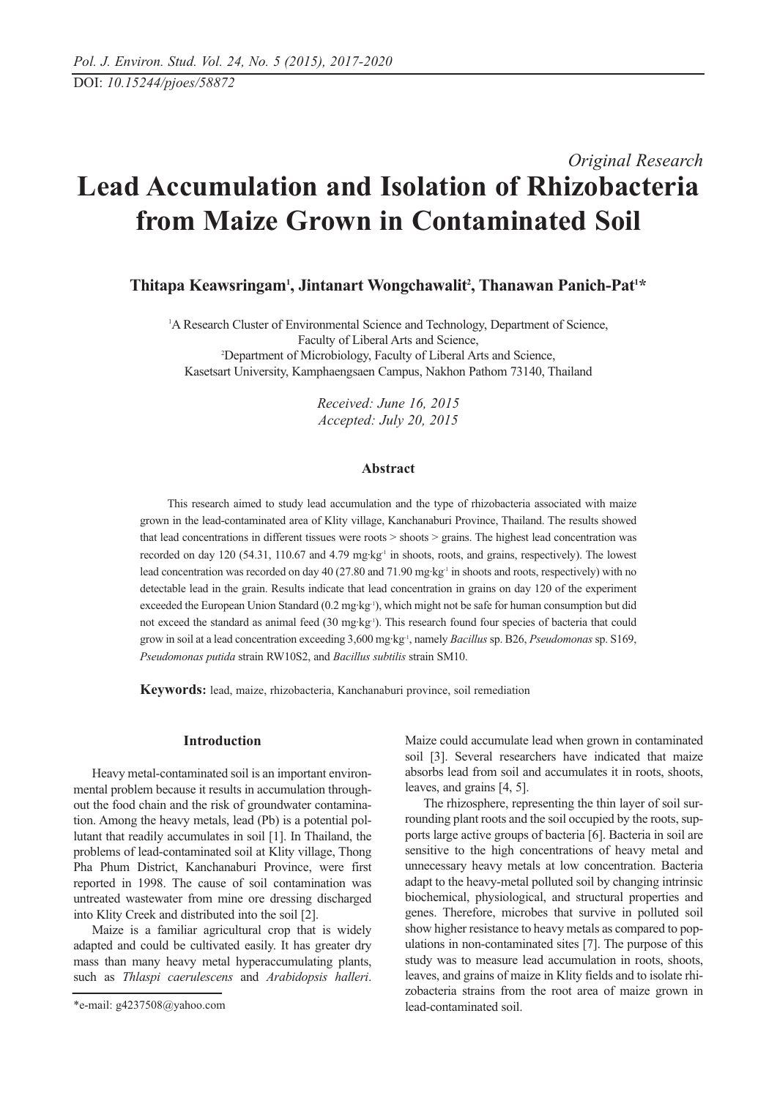# *Original Research* **Lead Accumulation and Isolation of Rhizobacteria from Maize Grown in Contaminated Soil**

Thitapa Keawsringam<sup>1</sup>, Jintanart Wongchawalit<sup>2</sup>, Thanawan Panich-Pat<sup>1\*</sup>

<sup>1</sup>A Research Cluster of Environmental Science and Technology, Department of Science, Faculty of Liberal Arts and Science, 2 Department of Microbiology, Faculty of Liberal Arts and Science, Kasetsart University, Kamphaengsaen Campus, Nakhon Pathom 73140, Thailand

> *Received: June 16, 2015 Accepted: July 20, 2015*

# **Abstract**

This research aimed to study lead accumulation and the type of rhizobacteria associated with maize grown in the lead-contaminated area of Klity village, Kanchanaburi Province, Thailand. The results showed that lead concentrations in different tissues were roots > shoots > grains. The highest lead concentration was recorded on day 120 (54.31, 110.67 and 4.79 mg·kg<sup>-1</sup> in shoots, roots, and grains, respectively). The lowest lead concentration was recorded on day 40 (27.80 and 71.90 mg·kg<sup>-1</sup> in shoots and roots, respectively) with no detectable lead in the grain. Results indicate that lead concentration in grains on day 120 of the experiment exceeded the European Union Standard (0.2 mg·kg<sup>-1</sup>), which might not be safe for human consumption but did not exceed the standard as animal feed (30 mg·kg-1). This research found four species of bacteria that could grow in soil at a lead concentration exceeding 3,600 mg·kg-1, namely *Bacillus*sp. B26, *Pseudomonas*sp. S169, *Pseudomonas putida* strain RW10S2, and *Bacillus subtilis* strain SM10.

**Keywords:** lead, maize, rhizobacteria, Kanchanaburi province, soil remediation

# **Introduction**

Heavy metal-contaminated soil is an important environmental problem because it results in accumulation throughout the food chain and the risk of groundwater contamination. Among the heavy metals, lead (Pb) is a potential pollutant that readily accumulates in soil [1]. In Thailand, the problems of lead-contaminated soil at Klity village, Thong Pha Phum District, Kanchanaburi Province, were first reported in 1998. The cause of soil contamination was untreated wastewater from mine ore dressing discharged into Klity Creek and distributed into the soil [2].

Maize is a familiar agricultural crop that is widely adapted and could be cultivated easily. It has greater dry mass than many heavy metal hyperaccumulating plants, such as *Thlaspi caerulescens* and *Arabidopsis halleri*.

Maize could accumulate lead when grown in contaminated soil [3]. Several researchers have indicated that maize absorbs lead from soil and accumulates it in roots, shoots, leaves, and grains [4, 5].

The rhizosphere, representing the thin layer of soil surrounding plant roots and the soil occupied by the roots, supports large active groups of bacteria [6]. Bacteria in soil are sensitive to the high concentrations of heavy metal and unnecessary heavy metals at low concentration. Bacteria adapt to the heavy-metal polluted soil by changing intrinsic biochemical, physiological, and structural properties and genes. Therefore, microbes that survive in polluted soil show higher resistance to heavy metals as compared to populations in non-contaminated sites [7]. The purpose of this study was to measure lead accumulation in roots, shoots, leaves, and grains of maize in Klity fields and to isolate rhizobacteria strains from the root area of maize grown in lead-contaminated soil.

<sup>\*</sup>e-mail: g4237508@yahoo.com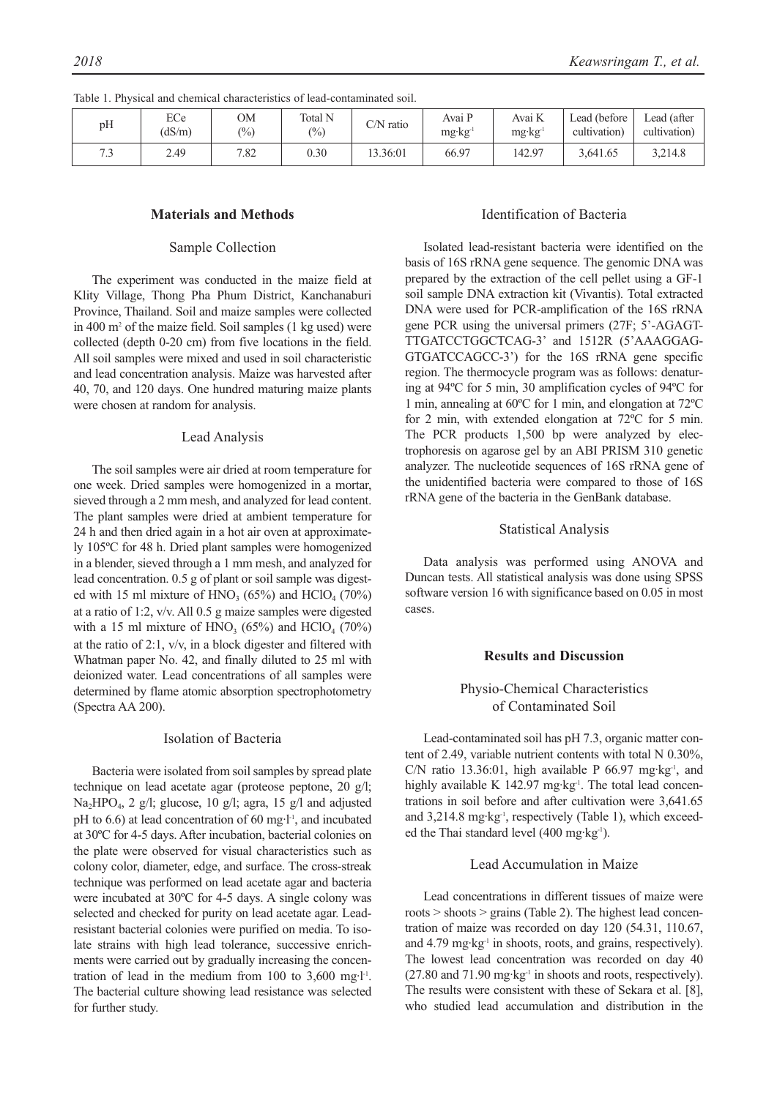| pH  | ECe<br>(dS/m) | OМ<br>(0/0) | Total N<br>$\frac{(0)}{0}$ | $C/N$ ratio | Avai P<br>$mg \cdot kg'$ | Avai K<br>$mg \cdot kg^{-1}$ | Lead (before)<br>cultivation) | $\textcolor{blue}{\text{\sf Leader}}$ (after<br>cultivation) |
|-----|---------------|-------------|----------------------------|-------------|--------------------------|------------------------------|-------------------------------|--------------------------------------------------------------|
| 7.3 | 2.49          | 7.82        | 0.30                       | 13.36:01    | 66.97                    | 142.97                       | 3,641.65                      | 3,214.8                                                      |

Table 1. Physical and chemical characteristics of lead-contaminated soil.

# **Materials and Methods**

#### Sample Collection

The experiment was conducted in the maize field at Klity Village, Thong Pha Phum District, Kanchanaburi Province, Thailand. Soil and maize samples were collected in 400 m2 of the maize field. Soil samples (1 kg used) were collected (depth 0-20 cm) from five locations in the field. All soil samples were mixed and used in soil characteristic and lead concentration analysis. Maize was harvested after 40, 70, and 120 days. One hundred maturing maize plants were chosen at random for analysis.

#### Lead Analysis

The soil samples were air dried at room temperature for one week. Dried samples were homogenized in a mortar, sieved through a 2 mm mesh, and analyzed for lead content. The plant samples were dried at ambient temperature for 24 h and then dried again in a hot air oven at approximately 105ºC for 48 h. Dried plant samples were homogenized in a blender, sieved through a 1 mm mesh, and analyzed for lead concentration. 0.5 g of plant or soil sample was digested with 15 ml mixture of  $HNO<sub>3</sub>$  (65%) and  $HClO<sub>4</sub>$  (70%) at a ratio of 1:2, v/v. All 0.5 g maize samples were digested with a 15 ml mixture of  $HNO<sub>3</sub>$  (65%) and  $HClO<sub>4</sub>$  (70%) at the ratio of 2:1, v/v, in a block digester and filtered with Whatman paper No. 42, and finally diluted to 25 ml with deionized water. Lead concentrations of all samples were determined by flame atomic absorption spectrophotometry (Spectra AA 200).

## Isolation of Bacteria

Bacteria were isolated from soil samples by spread plate technique on lead acetate agar (proteose peptone, 20 g/l; Na2HPO4, 2 g/l; glucose, 10 g/l; agra, 15 g/l and adjusted pH to 6.6) at lead concentration of 60 mg·l<sup>-1</sup>, and incubated at 30ºC for 4-5 days. After incubation, bacterial colonies on the plate were observed for visual characteristics such as colony color, diameter, edge, and surface. The cross-streak technique was performed on lead acetate agar and bacteria were incubated at 30ºC for 4-5 days. A single colony was selected and checked for purity on lead acetate agar. Leadresistant bacterial colonies were purified on media. To isolate strains with high lead tolerance, successive enrichments were carried out by gradually increasing the concentration of lead in the medium from 100 to  $3,600$  mg·l<sup>-1</sup>. The bacterial culture showing lead resistance was selected for further study.

# Identification of Bacteria

Isolated lead-resistant bacteria were identified on the basis of 16S rRNA gene sequence. The genomic DNA was prepared by the extraction of the cell pellet using a GF-1 soil sample DNA extraction kit (Vivantis). Total extracted DNA were used for PCR-amplification of the 16S rRNA gene PCR using the universal primers (27F; 5'-AGAGT-TTGATCCTGGCTCAG-3' and 1512R (5'AAAGGAG-GTGATCCAGCC-3') for the 16S rRNA gene specific region. The thermocycle program was as follows: denaturing at 94ºC for 5 min, 30 amplification cycles of 94ºC for 1 min, annealing at 60ºC for 1 min, and elongation at 72ºC for 2 min, with extended elongation at 72ºC for 5 min. The PCR products 1,500 bp were analyzed by electrophoresis on agarose gel by an ABI PRISM 310 genetic analyzer. The nucleotide sequences of 16S rRNA gene of the unidentified bacteria were compared to those of 16S rRNA gene of the bacteria in the GenBank database.

#### Statistical Analysis

Data analysis was performed using ANOVA and Duncan tests. All statistical analysis was done using SPSS software version 16 with significance based on 0.05 in most cases.

## **Results and Discussion**

# Physio-Chemical Characteristics of Contaminated Soil

Lead-contaminated soil has pH 7.3, organic matter content of 2.49, variable nutrient contents with total N 0.30%, C/N ratio 13.36:01, high available P 66.97 mg·kg<sup>-1</sup>, and highly available K  $142.97$  mg·kg<sup>-1</sup>. The total lead concentrations in soil before and after cultivation were 3,641.65 and 3,214.8 mg·kg<sup>-1</sup>, respectively (Table 1), which exceeded the Thai standard level (400 mg·kg-1).

# Lead Accumulation in Maize

Lead concentrations in different tissues of maize were roots > shoots > grains (Table 2). The highest lead concentration of maize was recorded on day 120 (54.31, 110.67, and  $4.79 \text{ mg} \cdot \text{kg}^{-1}$  in shoots, roots, and grains, respectively). The lowest lead concentration was recorded on day 40  $(27.80 \text{ and } 71.90 \text{ mg} \cdot \text{kg}^{-1}$  in shoots and roots, respectively). The results were consistent with these of Sekara et al. [8], who studied lead accumulation and distribution in the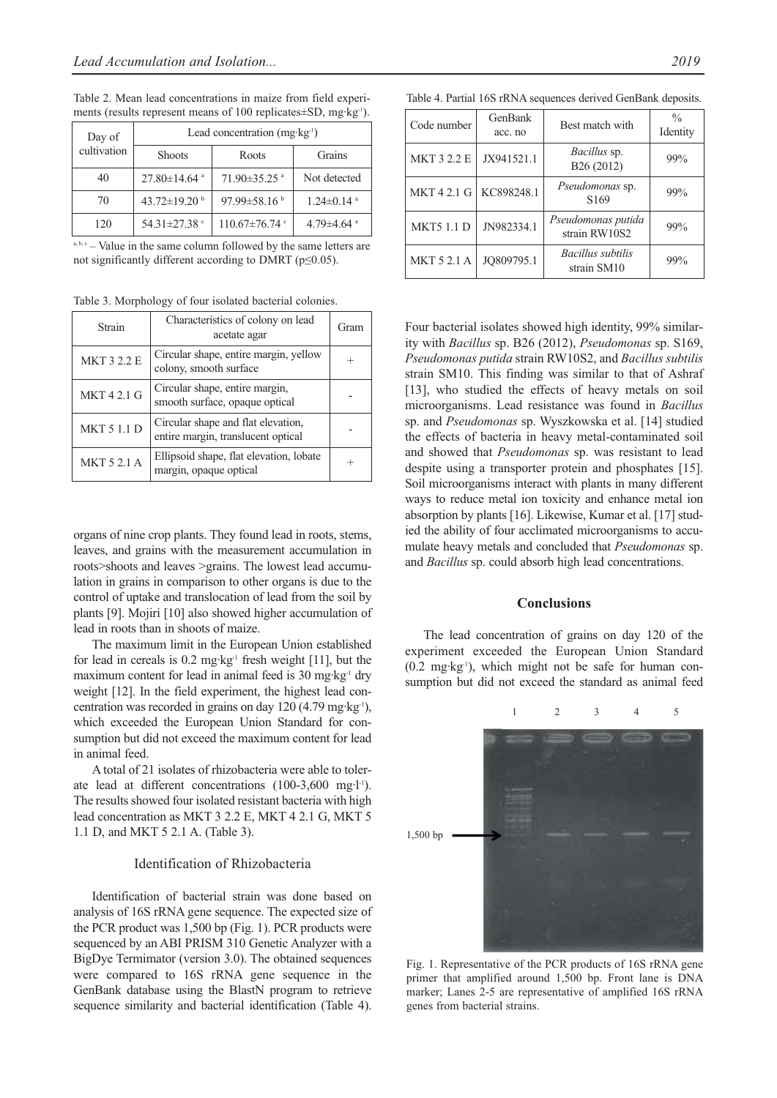Table 2. Mean lead concentrations in maize from field experiments (results represent means of 100 replicates±SD, mg·kg-1).

| Day of      | Lead concentration (mg·kg <sup>1</sup> ) |                              |                              |  |  |
|-------------|------------------------------------------|------------------------------|------------------------------|--|--|
| cultivation | <b>Shoots</b>                            | Roots                        | Grains                       |  |  |
| 40          | $27.80 \pm 14.64$ <sup>a</sup>           | $71.90\pm35.25$ <sup>a</sup> | Not detected                 |  |  |
| 70          | 43.72 $\pm$ 19.20 $^{\rm b}$             | 97.99 $\pm$ 58.16 $^{\circ}$ | $1.24 \pm 0.14$ <sup>a</sup> |  |  |
| 120         | 54.31±27.38 °                            | $110.67 \pm 76.74$           | 4.79 $\pm$ 4.64 $\mathrm{a}$ |  |  |

 $a, b, c$  – Value in the same column followed by the same letters are not significantly different according to DMRT (p≤0.05).

Table 3. Morphology of four isolated bacterial colonies.

| Strain             | Characteristics of colony on lead<br>acetate agar                        | Gram |
|--------------------|--------------------------------------------------------------------------|------|
| <b>MKT 3 2.2 E</b> | Circular shape, entire margin, yellow<br>colony, smooth surface          |      |
| MKT 4 2.1 G        | Circular shape, entire margin,<br>smooth surface, opaque optical         |      |
| <b>MKT 5 1.1 D</b> | Circular shape and flat elevation,<br>entire margin, translucent optical |      |
| <b>MKT 5 2.1 A</b> | Ellipsoid shape, flat elevation, lobate<br>margin, opaque optical        |      |

organs of nine crop plants. They found lead in roots, stems, leaves, and grains with the measurement accumulation in roots>shoots and leaves >grains. The lowest lead accumulation in grains in comparison to other organs is due to the control of uptake and translocation of lead from the soil by plants [9]. Mojiri [10] also showed higher accumulation of lead in roots than in shoots of maize.

The maximum limit in the European Union established for lead in cereals is  $0.2 \text{ mg} \cdot \text{kg}^{-1}$  fresh weight [11], but the maximum content for lead in animal feed is  $30 \text{ mg} \cdot \text{kg}^{-1}$  dry weight [12]. In the field experiment, the highest lead concentration was recorded in grains on day 120  $(4.79 \text{ mg} \cdot \text{kg}^{-1})$ , which exceeded the European Union Standard for consumption but did not exceed the maximum content for lead in animal feed.

A total of 21 isolates of rhizobacteria were able to tolerate lead at different concentrations (100-3,600 mg·l-1). The results showed four isolated resistant bacteria with high lead concentration as MKT 3 2.2 E, MKT 4 2.1 G, MKT 5 1.1 D, and MKT 5 2.1 A. (Table 3).

# Identification of Rhizobacteria

Identification of bacterial strain was done based on analysis of 16S rRNA gene sequence. The expected size of the PCR product was 1,500 bp (Fig. 1). PCR products were sequenced by an ABI PRISM 310 Genetic Analyzer with a BigDye Termimator (version 3.0). The obtained sequences were compared to 16S rRNA gene sequence in the GenBank database using the BlastN program to retrieve sequence similarity and bacterial identification (Table 4).

Table 4. Partial 16S rRNA sequences derived GenBank deposits.

| Code number        | GenBank<br>acc. no | Best match with                         | $\frac{0}{0}$<br>Identity |
|--------------------|--------------------|-----------------------------------------|---------------------------|
| <b>MKT 3 2.2 E</b> | JX941521.1         | Bacillus sp.<br>B <sub>26</sub> (2012)  | 99%                       |
| <b>MKT42.1G</b>    | KC898248.1         | Pseudomonas sp.<br>S <sub>169</sub>     | 99%                       |
| <b>MKT5 1.1 D</b>  | JN982334.1         | Pseudomonas putida<br>strain RW10S2     | 99%                       |
| <b>MKT 5 2.1 A</b> | JO809795.1         | <b>Bacillus</b> subtilis<br>strain SM10 | 99%                       |

Four bacterial isolates showed high identity, 99% similarity with *Bacillus* sp. B26 (2012), *Pseudomonas* sp. S169, *Pseudomonas putida* strain RW10S2, and *Bacillus subtilis* strain SM10. This finding was similar to that of Ashraf [13], who studied the effects of heavy metals on soil microorganisms. Lead resistance was found in *Bacillus* sp. and *Pseudomonas* sp. Wyszkowska et al. [14] studied the effects of bacteria in heavy metal-contaminated soil and showed that *Pseudomonas* sp. was resistant to lead despite using a transporter protein and phosphates [15]. Soil microorganisms interact with plants in many different ways to reduce metal ion toxicity and enhance metal ion absorption by plants [16]. Likewise, Kumar et al. [17] studied the ability of four acclimated microorganisms to accumulate heavy metals and concluded that *Pseudomonas* sp. and *Bacillus* sp. could absorb high lead concentrations.

#### **Conclusions**

The lead concentration of grains on day 120 of the experiment exceeded the European Union Standard (0.2 mg·kg-1), which might not be safe for human consumption but did not exceed the standard as animal feed



Fig. 1. Representative of the PCR products of 16S rRNA gene primer that amplified around 1,500 bp. Front lane is DNA marker; Lanes 2-5 are representative of amplified 16S rRNA genes from bacterial strains.